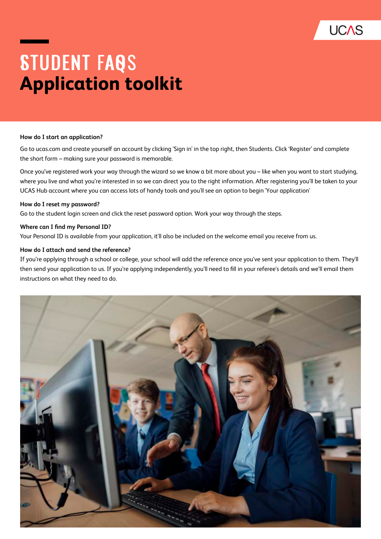

# **STUDENT FAQS Application toolkit**

#### **How do I start an application?**

Go to ucas.com and create yourself an account by clicking 'Sign in' in the top right, then Students. Click 'Register' and complete the short form – making sure your password is memorable.

Once you've registered work your way through the wizard so we know a bit more about you – like when you want to start studying, where you live and what you're interested in so we can direct you to the right information. After registering you'll be taken to your UCAS Hub account where you can access lots of handy tools and you'll see an option to begin 'Your application'

#### **How do I reset my password?**

Go to the student login screen and click the reset password option. Work your way through the steps.

#### **Where can I find my Personal ID?**

Your Personal ID is available from your application, it'll also be included on the welcome email you receive from us.

#### **How do I attach and send the reference?**

If you're applying through a school or college, your school will add the reference once you've sent your application to them. They'll then send your application to us. If you're applying independently, you'll need to fill in your referee's details and we'll email them instructions on what they need to do.